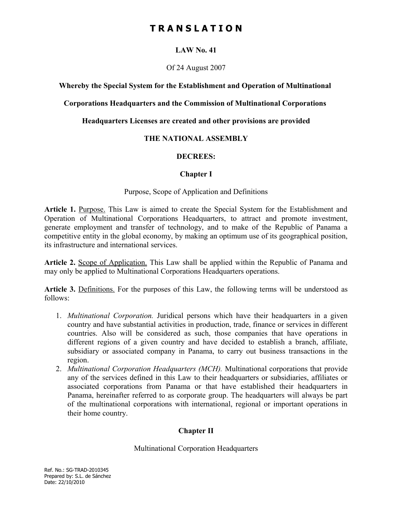### **LAW No. 41**

#### Of 24 August 2007

#### **Whereby the Special System for the Establishment and Operation of Multinational**

#### **Corporations Headquarters and the Commission of Multinational Corporations**

#### **Headquarters Licenses are created and other provisions are provided**

### **THE NATIONAL ASSEMBLY**

### **DECREES:**

### **Chapter I**

#### Purpose, Scope of Application and Definitions

Article 1. Purpose. This Law is aimed to create the Special System for the Establishment and Operation of Multinational Corporations Headquarters, to attract and promote investment, generate employment and transfer of technology, and to make of the Republic of Panama a competitive entity in the global economy, by making an optimum use of its geographical position, its infrastructure and international services.

**Article 2.** Scope of Application. This Law shall be applied within the Republic of Panama and may only be applied to Multinational Corporations Headquarters operations.

**Article 3.** Definitions. For the purposes of this Law, the following terms will be understood as follows:

- 1. *Multinational Corporation.* Juridical persons which have their headquarters in a given country and have substantial activities in production, trade, finance or services in different countries. Also will be considered as such, those companies that have operations in different regions of a given country and have decided to establish a branch, affiliate, subsidiary or associated company in Panama, to carry out business transactions in the region.
- 2. *Multinational Corporation Headquarters (MCH).* Multinational corporations that provide any of the services defined in this Law to their headquarters or subsidiaries, affiliates or associated corporations from Panama or that have established their headquarters in Panama, hereinafter referred to as corporate group. The headquarters will always be part of the multinational corporations with international, regional or important operations in their home country.

## **Chapter II**

Multinational Corporation Headquarters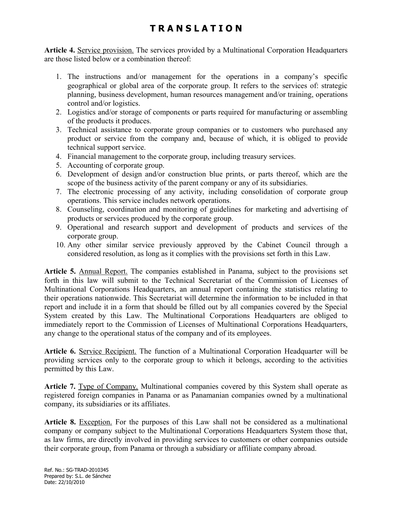**Article 4.** Service provision. The services provided by a Multinational Corporation Headquarters are those listed below or a combination thereof:

- 1. The instructions and/or management for the operations in a company's specific geographical or global area of the corporate group. It refers to the services of: strategic planning, business development, human resources management and/or training, operations control and/or logistics.
- 2. Logistics and/or storage of components or parts required for manufacturing or assembling of the products it produces.
- 3. Technical assistance to corporate group companies or to customers who purchased any product or service from the company and, because of which, it is obliged to provide technical support service.
- 4. Financial management to the corporate group, including treasury services.
- 5. Accounting of corporate group.
- 6. Development of design and/or construction blue prints, or parts thereof, which are the scope of the business activity of the parent company or any of its subsidiaries.
- 7. The electronic processing of any activity, including consolidation of corporate group operations. This service includes network operations.
- 8. Counseling, coordination and monitoring of guidelines for marketing and advertising of products or services produced by the corporate group.
- 9. Operational and research support and development of products and services of the corporate group.
- 10. Any other similar service previously approved by the Cabinet Council through a considered resolution, as long as it complies with the provisions set forth in this Law.

**Article 5.** Annual Report. The companies established in Panama, subject to the provisions set forth in this law will submit to the Technical Secretariat of the Commission of Licenses of Multinational Corporations Headquarters, an annual report containing the statistics relating to their operations nationwide. This Secretariat will determine the information to be included in that report and include it in a form that should be filled out by all companies covered by the Special System created by this Law. The Multinational Corporations Headquarters are obliged to immediately report to the Commission of Licenses of Multinational Corporations Headquarters, any change to the operational status of the company and of its employees.

**Article 6.** Service Recipient. The function of a Multinational Corporation Headquarter will be providing services only to the corporate group to which it belongs, according to the activities permitted by this Law.

**Article 7.** Type of Company. Multinational companies covered by this System shall operate as registered foreign companies in Panama or as Panamanian companies owned by a multinational company, its subsidiaries or its affiliates.

Article 8. Exception. For the purposes of this Law shall not be considered as a multinational company or company subject to the Multinational Corporations Headquarters System those that, as law firms, are directly involved in providing services to customers or other companies outside their corporate group, from Panama or through a subsidiary or affiliate company abroad.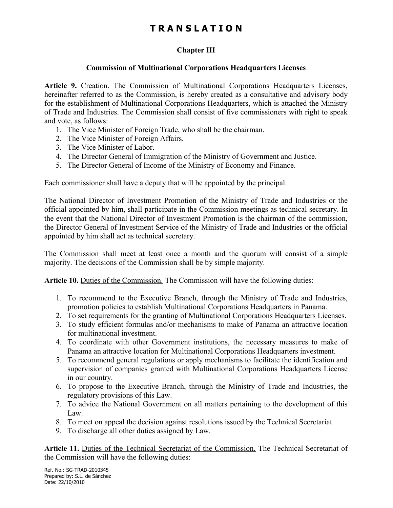## **Chapter III**

## **Commission of Multinational Corporations Headquarters Licenses**

**Article 9.** Creation. The Commission of Multinational Corporations Headquarters Licenses, hereinafter referred to as the Commission, is hereby created as a consultative and advisory body for the establishment of Multinational Corporations Headquarters, which is attached the Ministry of Trade and Industries. The Commission shall consist of five commissioners with right to speak and vote, as follows:

- 1. The Vice Minister of Foreign Trade, who shall be the chairman.
- 2. The Vice Minister of Foreign Affairs.
- 3. The Vice Minister of Labor.
- 4. The Director General of Immigration of the Ministry of Government and Justice.
- 5. The Director General of Income of the Ministry of Economy and Finance.

Each commissioner shall have a deputy that will be appointed by the principal.

The National Director of Investment Promotion of the Ministry of Trade and Industries or the official appointed by him, shall participate in the Commission meetings as technical secretary. In the event that the National Director of Investment Promotion is the chairman of the commission, the Director General of Investment Service of the Ministry of Trade and Industries or the official appointed by him shall act as technical secretary.

The Commission shall meet at least once a month and the quorum will consist of a simple majority. The decisions of the Commission shall be by simple majority.

Article 10. Duties of the Commission. The Commission will have the following duties:

- 1. To recommend to the Executive Branch, through the Ministry of Trade and Industries, promotion policies to establish Multinational Corporations Headquarters in Panama.
- 2. To set requirements for the granting of Multinational Corporations Headquarters Licenses.
- 3. To study efficient formulas and/or mechanisms to make of Panama an attractive location for multinational investment.
- 4. To coordinate with other Government institutions, the necessary measures to make of Panama an attractive location for Multinational Corporations Headquarters investment.
- 5. To recommend general regulations or apply mechanisms to facilitate the identification and supervision of companies granted with Multinational Corporations Headquarters License in our country.
- 6. To propose to the Executive Branch, through the Ministry of Trade and Industries, the regulatory provisions of this Law.
- 7. To advice the National Government on all matters pertaining to the development of this Law.
- 8. To meet on appeal the decision against resolutions issued by the Technical Secretariat.
- 9. To discharge all other duties assigned by Law.

**Article 11.** Duties of the Technical Secretariat of the Commission. The Technical Secretariat of the Commission will have the following duties:

Ref. No.: SG-TRAD-2010345 Prepared by: S.L. de Sánchez Date: 22/10/2010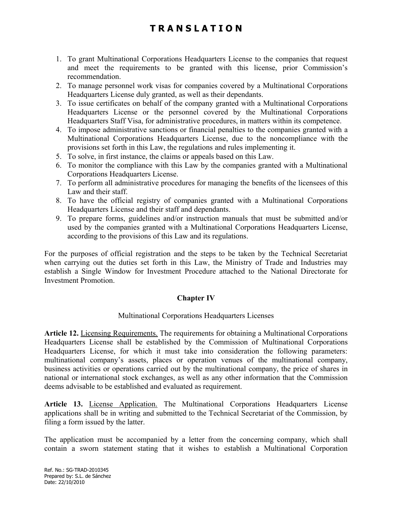- 1. To grant Multinational Corporations Headquarters License to the companies that request and meet the requirements to be granted with this license, prior Commission's recommendation.
- 2. To manage personnel work visas for companies covered by a Multinational Corporations Headquarters License duly granted, as well as their dependants.
- 3. To issue certificates on behalf of the company granted with a Multinational Corporations Headquarters License or the personnel covered by the Multinational Corporations Headquarters Staff Visa, for administrative procedures, in matters within its competence.
- 4. To impose administrative sanctions or financial penalties to the companies granted with a Multinational Corporations Headquarters License, due to the noncompliance with the provisions set forth in this Law, the regulations and rules implementing it.
- 5. To solve, in first instance, the claims or appeals based on this Law.
- 6. To monitor the compliance with this Law by the companies granted with a Multinational Corporations Headquarters License.
- 7. To perform all administrative procedures for managing the benefits of the licensees of this Law and their staff.
- 8. To have the official registry of companies granted with a Multinational Corporations Headquarters License and their staff and dependants.
- 9. To prepare forms, guidelines and/or instruction manuals that must be submitted and/or used by the companies granted with a Multinational Corporations Headquarters License, according to the provisions of this Law and its regulations.

For the purposes of official registration and the steps to be taken by the Technical Secretariat when carrying out the duties set forth in this Law, the Ministry of Trade and Industries may establish a Single Window for Investment Procedure attached to the National Directorate for Investment Promotion.

## **Chapter IV**

#### Multinational Corporations Headquarters Licenses

**Article 12.** Licensing Requirements. The requirements for obtaining a Multinational Corporations Headquarters License shall be established by the Commission of Multinational Corporations Headquarters License, for which it must take into consideration the following parameters: multinational company's assets, places or operation venues of the multinational company, business activities or operations carried out by the multinational company, the price of shares in national or international stock exchanges, as well as any other information that the Commission deems advisable to be established and evaluated as requirement.

**Article 13.** License Application. The Multinational Corporations Headquarters License applications shall be in writing and submitted to the Technical Secretariat of the Commission, by filing a form issued by the latter.

The application must be accompanied by a letter from the concerning company, which shall contain a sworn statement stating that it wishes to establish a Multinational Corporation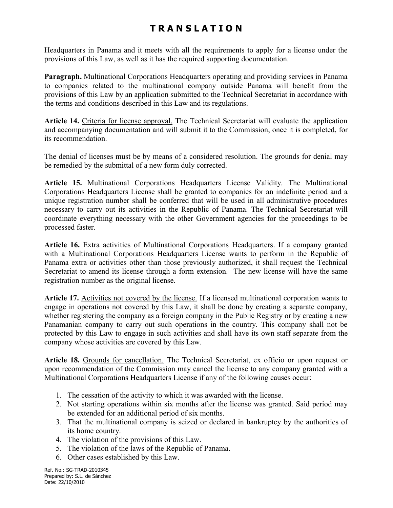Headquarters in Panama and it meets with all the requirements to apply for a license under the provisions of this Law, as well as it has the required supporting documentation.

**Paragraph.** Multinational Corporations Headquarters operating and providing services in Panama to companies related to the multinational company outside Panama will benefit from the provisions of this Law by an application submitted to the Technical Secretariat in accordance with the terms and conditions described in this Law and its regulations.

**Article 14.** Criteria for license approval. The Technical Secretariat will evaluate the application and accompanying documentation and will submit it to the Commission, once it is completed, for its recommendation.

The denial of licenses must be by means of a considered resolution. The grounds for denial may be remedied by the submittal of a new form duly corrected.

**Article 15.** Multinational Corporations Headquarters License Validity. The Multinational Corporations Headquarters License shall be granted to companies for an indefinite period and a unique registration number shall be conferred that will be used in all administrative procedures necessary to carry out its activities in the Republic of Panama. The Technical Secretariat will coordinate everything necessary with the other Government agencies for the proceedings to be processed faster.

**Article 16.** Extra activities of Multinational Corporations Headquarters. If a company granted with a Multinational Corporations Headquarters License wants to perform in the Republic of Panama extra or activities other than those previously authorized, it shall request the Technical Secretariat to amend its license through a form extension. The new license will have the same registration number as the original license.

**Article 17.** Activities not covered by the license. If a licensed multinational corporation wants to engage in operations not covered by this Law, it shall be done by creating a separate company, whether registering the company as a foreign company in the Public Registry or by creating a new Panamanian company to carry out such operations in the country. This company shall not be protected by this Law to engage in such activities and shall have its own staff separate from the company whose activities are covered by this Law.

**Article 18.** Grounds for cancellation. The Technical Secretariat, ex officio or upon request or upon recommendation of the Commission may cancel the license to any company granted with a Multinational Corporations Headquarters License if any of the following causes occur:

- 1. The cessation of the activity to which it was awarded with the license.
- 2. Not starting operations within six months after the license was granted. Said period may be extended for an additional period of six months.
- 3. That the multinational company is seized or declared in bankruptcy by the authorities of its home country.
- 4. The violation of the provisions of this Law.
- 5. The violation of the laws of the Republic of Panama.
- 6. Other cases established by this Law.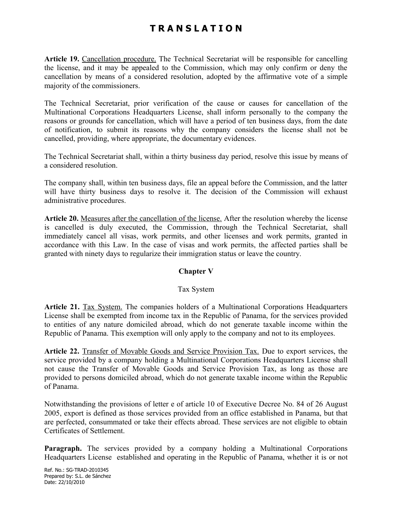**Article 19.** Cancellation procedure. The Technical Secretariat will be responsible for cancelling the license, and it may be appealed to the Commission, which may only confirm or deny the cancellation by means of a considered resolution, adopted by the affirmative vote of a simple majority of the commissioners.

The Technical Secretariat, prior verification of the cause or causes for cancellation of the Multinational Corporations Headquarters License, shall inform personally to the company the reasons or grounds for cancellation, which will have a period of ten business days, from the date of notification, to submit its reasons why the company considers the license shall not be cancelled, providing, where appropriate, the documentary evidences.

The Technical Secretariat shall, within a thirty business day period, resolve this issue by means of a considered resolution.

The company shall, within ten business days, file an appeal before the Commission, and the latter will have thirty business days to resolve it. The decision of the Commission will exhaust administrative procedures.

**Article 20.** Measures after the cancellation of the license. After the resolution whereby the license is cancelled is duly executed, the Commission, through the Technical Secretariat, shall immediately cancel all visas, work permits, and other licenses and work permits, granted in accordance with this Law. In the case of visas and work permits, the affected parties shall be granted with ninety days to regularize their immigration status or leave the country.

#### **Chapter V**

#### Tax System

**Article 21.** Tax System. The companies holders of a Multinational Corporations Headquarters License shall be exempted from income tax in the Republic of Panama, for the services provided to entities of any nature domiciled abroad, which do not generate taxable income within the Republic of Panama. This exemption will only apply to the company and not to its employees.

**Article 22.** Transfer of Movable Goods and Service Provision Tax. Due to export services, the service provided by a company holding a Multinational Corporations Headquarters License shall not cause the Transfer of Movable Goods and Service Provision Tax, as long as those are provided to persons domiciled abroad, which do not generate taxable income within the Republic of Panama.

Notwithstanding the provisions of letter e of article 10 of Executive Decree No. 84 of 26 August 2005, export is defined as those services provided from an office established in Panama, but that are perfected, consummated or take their effects abroad. These services are not eligible to obtain Certificates of Settlement.

**Paragraph.** The services provided by a company holding a Multinational Corporations Headquarters License established and operating in the Republic of Panama, whether it is or not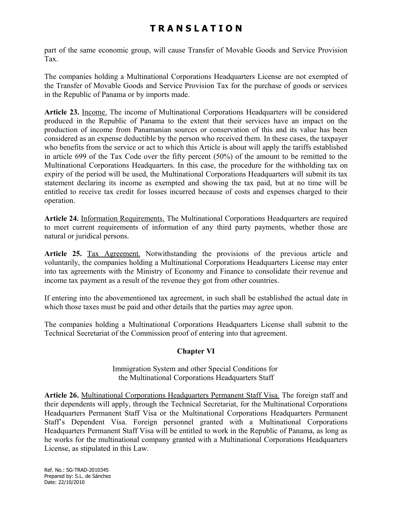part of the same economic group, will cause Transfer of Movable Goods and Service Provision Tax.

The companies holding a Multinational Corporations Headquarters License are not exempted of the Transfer of Movable Goods and Service Provision Tax for the purchase of goods or services in the Republic of Panama or by imports made.

**Article 23.** Income. The income of Multinational Corporations Headquarters will be considered produced in the Republic of Panama to the extent that their services have an impact on the production of income from Panamanian sources or conservation of this and its value has been considered as an expense deductible by the person who received them. In these cases, the taxpayer who benefits from the service or act to which this Article is about will apply the tariffs established in article 699 of the Tax Code over the fifty percent (50%) of the amount to be remitted to the Multinational Corporations Headquarters. In this case, the procedure for the withholding tax on expiry of the period will be used, the Multinational Corporations Headquarters will submit its tax statement declaring its income as exempted and showing the tax paid, but at no time will be entitled to receive tax credit for losses incurred because of costs and expenses charged to their operation.

**Article 24.** Information Requirements. The Multinational Corporations Headquarters are required to meet current requirements of information of any third party payments, whether those are natural or juridical persons.

**Article 25.** Tax Agreement. Notwithstanding the provisions of the previous article and voluntarily, the companies holding a Multinational Corporations Headquarters License may enter into tax agreements with the Ministry of Economy and Finance to consolidate their revenue and income tax payment as a result of the revenue they got from other countries.

If entering into the abovementioned tax agreement, in such shall be established the actual date in which those taxes must be paid and other details that the parties may agree upon.

The companies holding a Multinational Corporations Headquarters License shall submit to the Technical Secretariat of the Commission proof of entering into that agreement.

## **Chapter VI**

Immigration System and other Special Conditions for the Multinational Corporations Headquarters Staff

**Article 26.** Multinational Corporations Headquarters Permanent Staff Visa. The foreign staff and their dependents will apply, through the Technical Secretariat, for the Multinational Corporations Headquarters Permanent Staff Visa or the Multinational Corporations Headquarters Permanent Staff's Dependent Visa. Foreign personnel granted with a Multinational Corporations Headquarters Permanent Staff Visa will be entitled to work in the Republic of Panama, as long as he works for the multinational company granted with a Multinational Corporations Headquarters License, as stipulated in this Law.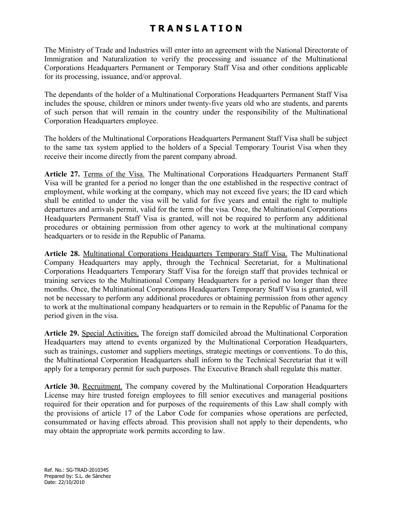The Ministry of Trade and Industries will enter into an agreement with the National Directorate of Immigration and Naturalization to verify the processing and issuance of the Multinational Corporations Headquarters Permanent or Temporary Staff Visa and other conditions applicable for its processing, issuance, and/or approval.

The dependants of the holder of a Multinational Corporations Headquarters Permanent Staff Visa includes the spouse, children or minors under twenty-five years old who are students, and parents of such person that will remain in the country under the responsibility of the Multinational Corporation Headquarters employee.

The holders of the Multinational Corporations Headquarters Permanent Staff Visa shall be subject to the same tax system applied to the holders of a Special Temporary Tourist Visa when they receive their income directly from the parent company abroad.

Article 27. Terms of the Visa. The Multinational Corporations Headquarters Permanent Staff Visa will be granted for a period no longer than the one established in the respective contract of employment, while working at the company, which may not exceed five years; the ID card which shall be entitled to under the visa will be valid for five years and entail the right to multiple departures and arrivals permit, valid for the term of the visa. Once, the Multinational Corporations Headquarters Permanent Staff Visa is granted, will not be required to perform any additional procedures or obtaining permission from other agency to work at the multinational company headquarters or to reside in the Republic of Panama.

**Article 28.** Multinational Corporations Headquarters Temporary Staff Visa. The Multinational Company Headquarters may apply, through the Technical Secretariat, for a Multinational Corporations Headquarters Temporary Staff Visa for the foreign staff that provides technical or training services to the Multinational Company Headquarters for a period no longer than three months. Once, the Multinational Corporations Headquarters Temporary Staff Visa is granted, will not be necessary to perform any additional procedures or obtaining permission from other agency to work at the multinational company headquarters or to remain in the Republic of Panama for the period given in the visa.

**Article 29.** Special Activities. The foreign staff domiciled abroad the Multinational Corporation Headquarters may attend to events organized by the Multinational Corporation Headquarters, such as trainings, customer and suppliers meetings, strategic meetings or conventions. To do this, the Multinational Corporation Headquarters shall inform to the Technical Secretariat that it will apply for a temporary permit for such purposes. The Executive Branch shall regulate this matter.

**Article 30.** Recruitment. The company covered by the Multinational Corporation Headquarters License may hire trusted foreign employees to fill senior executives and managerial positions required for their operation and for purposes of the requirements of this Law shall comply with the provisions of article 17 of the Labor Code for companies whose operations are perfected, consummated or having effects abroad. This provision shall not apply to their dependents, who may obtain the appropriate work permits according to law.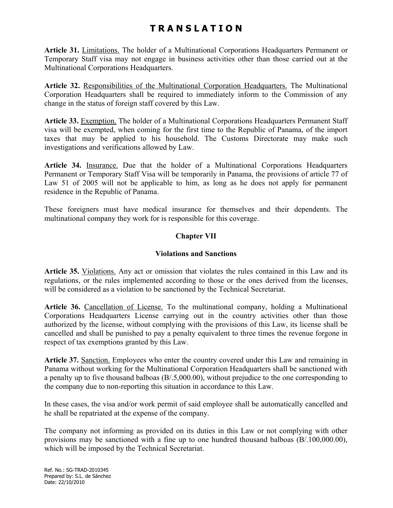**Article 31.** Limitations. The holder of a Multinational Corporations Headquarters Permanent or Temporary Staff visa may not engage in business activities other than those carried out at the Multinational Corporations Headquarters.

**Article 32.** Responsibilities of the Multinational Corporation Headquarters. The Multinational Corporation Headquarters shall be required to immediately inform to the Commission of any change in the status of foreign staff covered by this Law.

**Article 33.** Exemption. The holder of a Multinational Corporations Headquarters Permanent Staff visa will be exempted, when coming for the first time to the Republic of Panama, of the import taxes that may be applied to his household. The Customs Directorate may make such investigations and verifications allowed by Law.

**Article 34.** Insurance. Due that the holder of a Multinational Corporations Headquarters Permanent or Temporary Staff Visa will be temporarily in Panama, the provisions of article 77 of Law 51 of 2005 will not be applicable to him, as long as he does not apply for permanent residence in the Republic of Panama.

These foreigners must have medical insurance for themselves and their dependents. The multinational company they work for is responsible for this coverage.

### **Chapter VII**

### **Violations and Sanctions**

**Article 35.** Violations. Any act or omission that violates the rules contained in this Law and its regulations, or the rules implemented according to those or the ones derived from the licenses, will be considered as a violation to be sanctioned by the Technical Secretariat.

Article 36. Cancellation of License. To the multinational company, holding a Multinational Corporations Headquarters License carrying out in the country activities other than those authorized by the license, without complying with the provisions of this Law, its license shall be cancelled and shall be punished to pay a penalty equivalent to three times the revenue forgone in respect of tax exemptions granted by this Law.

**Article 37.** Sanction. Employees who enter the country covered under this Law and remaining in Panama without working for the Multinational Corporation Headquarters shall be sanctioned with a penalty up to five thousand balboas (B/.5,000.00), without prejudice to the one corresponding to the company due to non-reporting this situation in accordance to this Law.

In these cases, the visa and/or work permit of said employee shall be automatically cancelled and he shall be repatriated at the expense of the company.

The company not informing as provided on its duties in this Law or not complying with other provisions may be sanctioned with a fine up to one hundred thousand balboas (B/.100,000.00), which will be imposed by the Technical Secretariat.